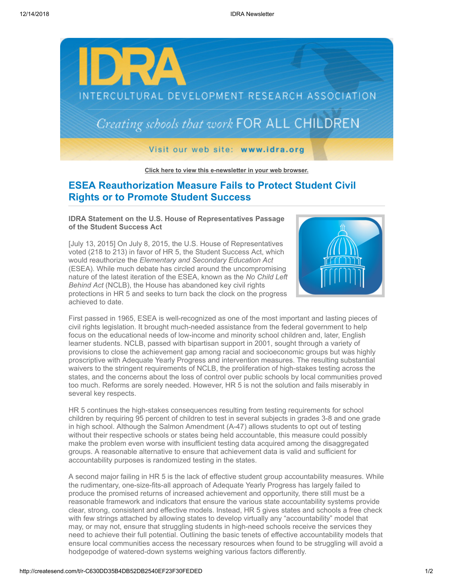

**[Click here to view this e-newsletter in your web browser.](http://newsletter.impulsedevelopment.com/t/r-e-aullyyd-l-r/)**

## **ESEA Reauthorization Measure Fails to Protect Student Civil Rights or to Promote Student Success**

**IDRA Statement on the U.S. House of Representatives Passage of the Student Success Act**

[July 13, 2015] On July 8, 2015, the U.S. House of Representatives voted (218 to 213) in favor of HR 5, the Student Success Act, which would reauthorize the *Elementary and Secondary Education Act* (ESEA). While much debate has circled around the uncompromising nature of the latest iteration of the ESEA, known as the *No Child Left Behind Act* (NCLB), the House has abandoned key civil rights protections in HR 5 and seeks to turn back the clock on the progress achieved to date.



First passed in 1965, ESEA is well-recognized as one of the most important and lasting pieces of civil rights legislation. It brought much-needed assistance from the federal government to help focus on the educational needs of low-income and minority school children and, later, English learner students. NCLB, passed with bipartisan support in 2001, sought through a variety of provisions to close the achievement gap among racial and socioeconomic groups but was highly proscriptive with Adequate Yearly Progress and intervention measures. The resulting substantial waivers to the stringent requirements of NCLB, the proliferation of high-stakes testing across the states, and the concerns about the loss of control over public schools by local communities proved too much. Reforms are sorely needed. However, HR 5 is not the solution and fails miserably in several key respects.

HR 5 continues the high-stakes consequences resulting from testing requirements for school children by requiring 95 percent of children to test in several subjects in grades 3-8 and one grade in high school. Although the Salmon Amendment (A-47) allows students to opt out of testing without their respective schools or states being held accountable, this measure could possibly make the problem even worse with insufficient testing data acquired among the disaggregated groups. A reasonable alternative to ensure that achievement data is valid and sufficient for accountability purposes is randomized testing in the states.

A second major failing in HR 5 is the lack of effective student group accountability measures. While the rudimentary, one-size-fits-all approach of Adequate Yearly Progress has largely failed to produce the promised returns of increased achievement and opportunity, there still must be a reasonable framework and indicators that ensure the various state accountability systems provide clear, strong, consistent and effective models. Instead, HR 5 gives states and schools a free check with few strings attached by allowing states to develop virtually any "accountability" model that may, or may not, ensure that struggling students in high-need schools receive the services they need to achieve their full potential. Outlining the basic tenets of effective accountability models that ensure local communities access the necessary resources when found to be struggling will avoid a hodgepodge of watered-down systems weighing various factors differently.